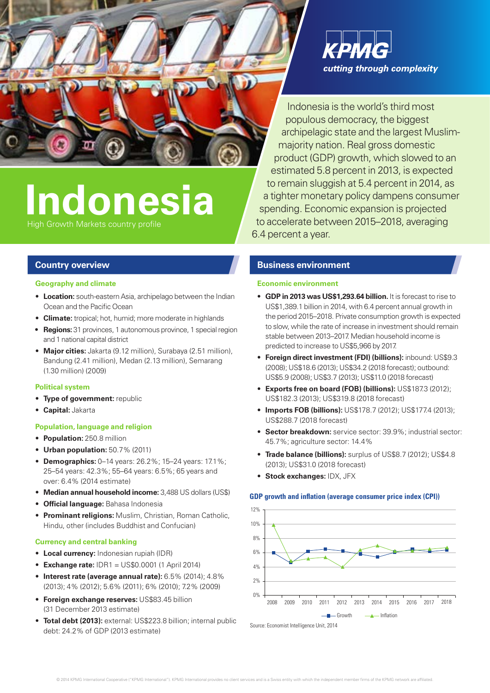

Indonesia is the world's third most populous democracy, the biggest archipelagic state and the largest Muslimmajority nation. Real gross domestic product (GDP) growth, which slowed to an estimated 5.8 percent in 2013, is expected to remain sluggish at 5.4 percent in 2014, as a tighter monetary policy dampens consumer spending. Economic expansion is projected to accelerate between 2015–2018, averaging 6.4 percent a year.

# **Indonesia**

High Growth Markets country profile

## **Country overview**

#### **Geography and climate**

- **Location:** south-eastern Asia, archipelago between the Indian Ocean and the Pacific Ocean
- • **Climate:** tropical; hot, humid; more moderate in highlands
- **Regions:** 31 provinces, 1 autonomous province, 1 special region and 1 national capital district
- • **Major cities:** Jakarta (9.12 million), Surabaya (2.51 million), Bandung (2.41 million), Medan (2.13 million), Semarang (1.30 million) (2009)

#### **Political system**

- **Type of government:** republic
- • **Capital:** Jakarta

#### **Population, language and religion**

- • **Population:** 250.8 million
- • **Urban population:** 50.7% (2011)
- • **Demographics:** 0–14 years: 26.2%; 15–24 years: 17.1%; 25–54 years: 42.3%; 55–64 years: 6.5%; 65 years and over: 6.4% (2014 estimate)
- • **Median annual household income:** 3,488 US dollars (US\$)
- • **Official language:** Bahasa Indonesia
- • **Prominant religions:** Muslim, Christian, Roman Catholic, Hindu, other (includes Buddhist and Confucian)

#### **Currency and central banking**

- • **Local currency:** Indonesian rupiah (IDR)
- • **Exchange rate:** IDR1 = US\$0.0001 (1 April 2014)
- • **Interest rate (average annual rate):** 6.5% (2014); 4.8% (2013); 4% (2012); 5.6% (2011); 6% (2010); 7.2% (2009)
- **Foreign exchange reserves: US\$83.45 billion** (31 December 2013 estimate)
- **Total debt (2013):** external: US\$223.8 billion; internal public debt: 24.2% of GDP (2013 estimate)

# **Business environment**

#### **Economic environment**

- • **GDP in 2013 was US\$1,293.64 billion.** It is forecast to rise to US\$1,389.1 billion in 2014, with 6.4 percent annual growth in the period 2015–2018. Private consumption growth is expected to slow, while the rate of increase in investment should remain stable between 2013–2017. Median household income is predicted to increase to US\$5,966 by 2017.
- • **Foreign direct investment (FDI) (billions):** inbound: US\$9.3 (2008); US\$18.6 (2013); US\$34.2 (2018 forecast); outbound: US\$5.9 (2008); US\$3.7 (2013); US\$11.0 (2018 forecast)
- **Exports free on board (FOB) (billions):** US\$187.3 (2012); US\$182.3 (2013); US\$319.8 (2018 forecast)
- • **Imports FOB (billions):** US\$178.7 (2012); US\$177.4 (2013); US\$288.7 (2018 forecast)
- **Sector breakdown:** service sector: 39.9%; industrial sector: 45.7%; agriculture sector: 14.4%
- Trade balance (billions): surplus of US\$8.7 (2012); US\$4.8 (2013); US\$31.0 (2018 forecast)
- **Stock exchanges:** IDX, JFX

#### **GDP growth and inflation (average consumer price index (CPI))**



Source: Economist Intelligence Unit, 2014